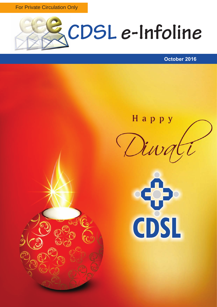For Private Circulation Only



### **October 2016**

Нарру





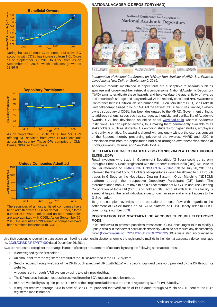

During the last 12 months, the number of active BO accounts with CDSL has increased from 1.01 Crore as on September 30, 2015 to 1.15 Crore as on September 30, 2016, which indicates growth of 13.86 %.



As on September 30, 2016 CDSL has 583 DPs offering DP services from over 17,000 locations across the country. These DPs comprise of CMs, Banks, NBFCs& Custodians.



The securities of almost all listed companies have been admitted with CDSL for demat. Further, a large number of Private Limited and unlisted companies are also admitted with CDSL. As on September 30, 2016, the securities of 9909 unique companies have been admitted for demat with CDSL.

### **NATIONALACADEMIC DEPOSITORY(NAD)**



*Inauguration of National Conference on NAD by Hon. Minister of HRD, Shri Prakash Javadekar at New Delhi on September 9, 2016.*

Academic records maintained in paper form are susceptible to hazards such as spoilage and forgery and their retrieval is cumbersome. National Academic Depository (NAD) aims to eradicate these hazards and help validate the authenticity of awards and ensure safe storage and easy retrieval. At the recently concluded NAD Awareness Conference held in Delhi on 9th September, 2016, Hon. Minister of HRD, Shri Prakash Javadekar emphasized to roll out NAD at the earliest. CDSLVentures Limited, a wholly owned subsidiary of CDSL, has been designated by the MHRD, Government of India, to address various issues such as storage, authenticity and verifiability of Academic Awards. CVL has developed an online portal www.nad.co.in wherein Academic Institutions (AI) can upload awards, thus making them permanently available to all stakeholders, such as students, AIs enrolling students for higher studies, employers and verifying entities. No award is shared with any entity without the express consent of the Student, thereby preserving privacy of the Awards. MHRD and UGC in association with both the depositories had also arranged awareness workshops at Kochi, Guwahati, Mumbai and New Delhi for AIs.

#### **SETTLEMENT OF G-SEC TRADES BY BOs ON NDS-OM PLATFORM THROUGH ELIGIBLE DPs**

Retail investors who trade in Government Securities (G-Secs) could do so only through a Primary Dealer registered with the Reserve Bank of India (RBI). RBI vide its circular reference no. **FMRD. DIRD. 3/14.03.07/ 2016-17** dated July 28, 2016 has informed that Demat Account Holders of depositories would be allowed to put through trades in G-Secs on the Negotiated Dealing System - Order Matching (NDSOM) platform through their respective Depository Participant (DP) bank. The aforementioned bank DPs have to be a direct member of NDS-OM and The Clearing Corporation of India Ltd.(CCIL) and hold an SGL account with RBI. This facility is aimed at helping the retail individual investor gain an easy and efficient access to the G-Sec market.

To get a complete overview of the operational process flow with regards to the settlement of G-Sec trades on NDS-OM platform at CDSL, kindly refer to CDSL communique number [6078.](https://www.cdslindia.com/publications/commprocedure.aspx?eventid=DP6078)

### **REGISTRATION FOR STATEMENT OF ACCOUNT THROUGH ELECTRONIC MODE**

In its endeavour to promote paperless transactions, CDSL encourages BOs to modify / update details in their demat account electronically which do not require any documentary proof (Communiqué no. CDSL/OPS/DP/POLCY/2532). BOs were also encouraged to

give their consent to receive the transaction cum holding statement in electronic form to the registered e-mail ids in their demat accounts vide communique no.CDSL/OPS/DP/REPRT/4900 dated December 26, 2014.

BOs are requested to register the change in mode of receipt of statement of account by using the following alternate sources:

- 1. Aletter signed by the first holder.
- 2. An email sent from the registered email id of the BO as recorded in the CDSL system.
- 3. Send a request through website of the DP through a secured URL with 'https' with specific login and password provided by the DP through its website.
- 4. Arequest sent through IVRS system by using tele-pin, provided that:
- a. The DPensures that such request is received from the BO's registered mobile number.
- b. BOs are verified by using tele-pin sent to BOs at their registered address at the time of registering BOs for IVRS facility.
- 5. A request received through ATM in case of Bank DPs, provided that verification of BO is done through ATM pin or OTP sent to the BO's registered mobile number.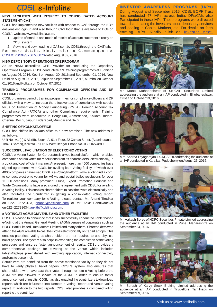# **CDSL e-Infoline**

### **NEW FACILITIES WITH RESPECT TO CONSOLIDATED ACCOUNT STATEMENT (CAS)**

CDSL has implemented new facilities with respect to CAS through the BO's easi/easiest login id and also through CAS login that is available to BOs on CDSL's website, www.cdslindia.com.

- 1. Update of email id and mode of receipt of account statement directly on CDSLsystem.
- 2. Viewing and downloading of CAS sent by CDSL through the 'CAS' tab.

For more details, kindly refer to Communique no. [CDSL/OPS/DP/SYSTM/6070](https://www.cdslindia.com/publications/commprocedure.aspx?eventid=DP6070) dated August 09, 2016.

### **NISM DEPOSITORYOPERATIONS CPE PROGRAM**

As an NISM accredited CPE Provider for conducting the Depository Operations Program, CDSL conducted CPE training programmes at Ludhiana on August 06, 2016, Kochi on August 20, 2016 and September 01, 2016, New Delhi on August 27, 2016, Jaipur on September 10, 2016, Mumbai on October 01, 2016 and Kolkata on October 07, 2016.

### **TRAINING PROGRAMMES FOR COMPLIANCE OFFICERS AND DP OFFICIALS**

CDSL organizes periodic training programmes for compliance officers and DP officials with a view to increase the effectiveness of compliance with special focus on Prevention of Money Laundering (PMLA), Foreign Account Tax Compliance Act (FATCA) and other Compliance requirements. Training programmes were conducted in Bengaluru, Ahmedabad, Kolkata, Indore, Chennai, Kochi, Jaipur, Hyderabad, Mumbai and Delhi.

### **SHIFTING OF KOLKATAOFFICE**

CDSL has shifted its Kolkata office to a new premises. The new address is as follows:

Unit No - A1 (II) & A1 (III), Block - A, 01st Floor, 22 Camac Street, (Abanindranath Thakur Sarani), Kolkata - 700016, West Bengal. Phone No - 08820274880

### **SUCCESSFULFACILITATION OF ELECTRONIC VOTING**

CDSL's e-Voting System for Corporates is a web based platform which enables companies obtain votes for resolutions from its shareholders, electronically, in a quick and cost efficient manner. At present, more than 4600 companies have signed agreements with CDSL for availing its e-Voting facility, of which over 4000 companies have used CDSL's e-Voting Platform, www.evotingindia.com, to conduct electronic voting for AGMs and postal ballot resolutions for over 11,500 occasions. Many prominent Clubs, Export Promotion Councils and Trade Organizations have also signed the agreement with CDSL for availing e-Voting facility. This enables shareholders to cast their vote electronically and also facilitates the Scrutinizer in getting a consolidated voting report. To register your company for e-Voting, please contact Mr. Anand Tirodkar on 022- 22728153, anandt@cdslindia.com or Mr. Ankit Bandivadekar on022 - 22728634, <u>ankitb@cdslindia.com</u>.

### **e-VOTING AT AGM/EGM VENUE AND OTHER FACILITIES**

CDSL is pleased to announce that it has successfully conducted Tablet based e-Voting at the Annual General Meeting (AGM) venues of corporates such as HDFC Bank Limited, Tata Motors Limited and many others. Shareholders who attend the AGM are able to cast their votes electronically on Tabs/Laptops. This enables paperless voting as shareholders are not required to use physical ballot papers. The system also helps in expediting the completion of the voting procedure and ensures faster announcement of results. CDSL provides a comprehensive package for e-Voting at the venue which includes tablets/laptops pre-installed with e-voting application, internet connectivity and onsite personnel.

Scrutinizers are benefited from the above-mentioned facility as they do not have to verify physical ballot papers. CDSL's system also ensures that shareholders who have cast their votes through remote e-Voting before the AGM are not allowed to e-Vote at the AGM. In order to ensure faster announcement of results, CDSL has also enabled the scrutinizers to download reports which are bifurcated into Remote e-Voting Report and Venue voting report. In addition to the two reports, CDSL also provides a combined voting report to the scrutinizer.

**INVESTOR AWARENESS PROGRAMS (IAPs)** During August and September 2016, CDSL BOPF Trust has conducted 47 IAPs across India. DPs/CMs also Participated in these IAPs. These programs were directed towards educating the investors about depository services and dealing in Capital Markets, etc. For details on forth coming IAPs, Kindly click on [Investor](https://www.cdslindia.com/investors/investor-meet.aspx) Meet.



Mr. Manoj Mahadeshwar of SBICAP Securities Limited addressing the audience at an IAP conducted in Bhubaneshwar, Orissa on October 19, 2016.



Mrs. Aparna Thyagarajan, DGM, SEBI addressing the audience at an IAP conducted in Karaikal, Puducherry on August 25, 2016.



Mr. Aakash Borse of HDFC Securities Private Limited addressing the audience at an IAP conducted in Pune, Maharashtra on September 24, 2016.



Suresh of Karvy Stock Broking Limited addressing the audience at an IAP conducted in Tiruvellore, Tamilnadu on September 09, 2016.